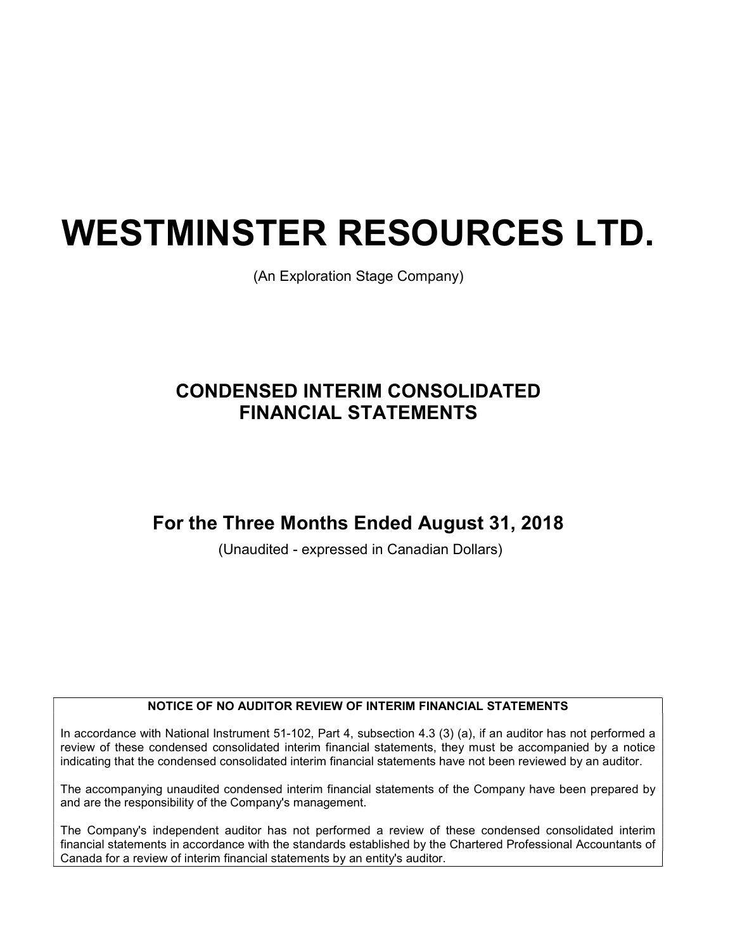# WESTMINSTER RESOURCES LTD.

(An Exploration Stage Company)

# CONDENSED INTERIM CONSOLIDATED FINANCIAL STATEMENTS

# For the Three Months Ended August 31, 2018

(Unaudited - expressed in Canadian Dollars)

#### NOTICE OF NO AUDITOR REVIEW OF INTERIM FINANCIAL STATEMENTS

In accordance with National Instrument 51-102, Part 4, subsection 4.3 (3) (a), if an auditor has not performed a review of these condensed consolidated interim financial statements, they must be accompanied by a notice indicating that the condensed consolidated interim financial statements have not been reviewed by an auditor.

The accompanying unaudited condensed interim financial statements of the Company have been prepared by and are the responsibility of the Company's management.

The Company's independent auditor has not performed a review of these condensed consolidated interim financial statements in accordance with the standards established by the Chartered Professional Accountants of Canada for a review of interim financial statements by an entity's auditor.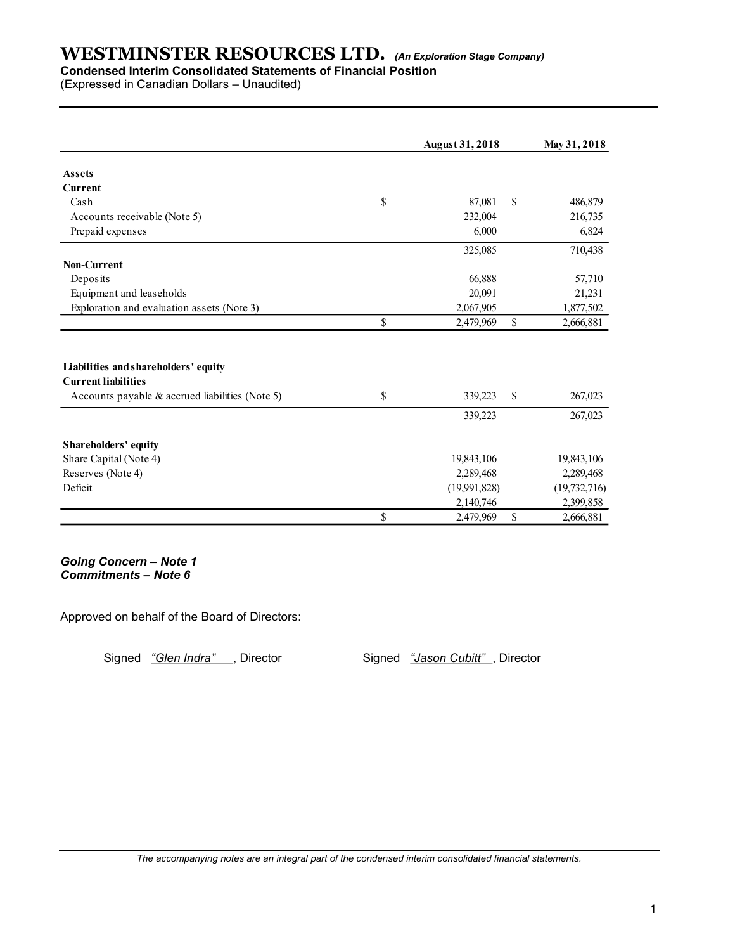## Condensed Interim Consolidated Statements of Financial Position

| (Expressed in Canadian Dollars - Unaudited)                                   |              |                        |               |                  |
|-------------------------------------------------------------------------------|--------------|------------------------|---------------|------------------|
|                                                                               |              |                        |               |                  |
|                                                                               |              |                        |               |                  |
|                                                                               |              | <b>August 31, 2018</b> |               | May 31, 2018     |
| <b>Assets</b>                                                                 |              |                        |               |                  |
| <b>Current</b>                                                                |              |                        |               |                  |
| Cash                                                                          | $\mathbb{S}$ | 87,081                 | $\mathbb{S}$  | 486,879          |
| Accounts receivable (Note 5)<br>Prepaid expenses                              |              | 232,004<br>6,000       |               | 216,735<br>6,824 |
|                                                                               |              |                        |               |                  |
| Non-Current                                                                   |              | 325,085                |               | 710,438          |
| Deposits                                                                      |              | 66,888                 |               | 57,710           |
| Equipment and leaseholds                                                      |              | 20,091                 |               | 21,231           |
| Exploration and evaluation assets (Note 3)                                    |              | 2,067,905              |               | 1,877,502        |
|                                                                               | $\mathbb S$  | 2,479,969              | $\mathbb{S}$  | 2,666,881        |
|                                                                               |              |                        |               |                  |
| Liabilities and shareholders' equity                                          |              |                        |               |                  |
| <b>Current liabilities</b><br>Accounts payable & accrued liabilities (Note 5) | \$           | 339,223                | $\mathcal{S}$ | 267,023          |
|                                                                               |              |                        |               |                  |
|                                                                               |              | 339,223                |               | 267,023          |
| Shareholders' equity                                                          |              |                        |               |                  |
| Share Capital (Note 4)                                                        |              | 19,843,106             |               | 19,843,106       |
| Reserves (Note 4)                                                             |              | 2,289,468              |               | 2,289,468        |
| Deficit                                                                       |              | (19,991,828)           |               | (19, 732, 716)   |
|                                                                               | $\mathbb S$  | 2,140,746<br>2,479,969 |               | 2,399,858        |
|                                                                               |              |                        | $\mathbb{S}$  | 2,666,881        |

Approved on behalf of the Board of Directors:

Signed "Glen Indra", Director Signed "Jason Cubitt", Director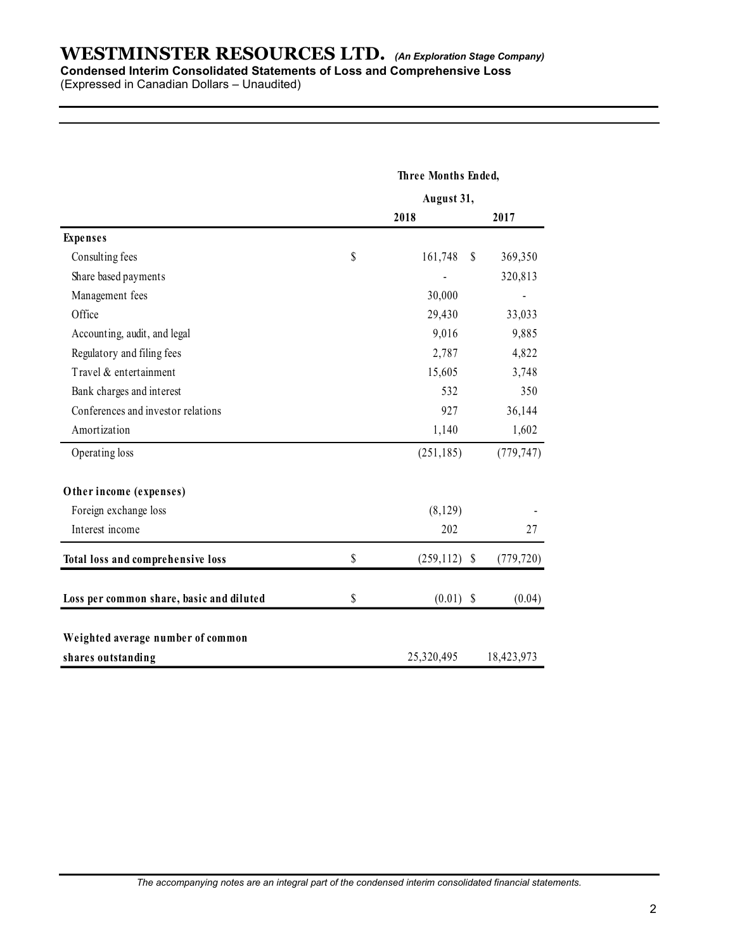#### Condensed Interim Consolidated Statements of Loss and Comprehensive Loss

| <b>WESTMINSTER RESOURCES LTD.</b> (An Exploration Stage Company)                                                        |                       |                |
|-------------------------------------------------------------------------------------------------------------------------|-----------------------|----------------|
| Condensed Interim Consolidated Statements of Loss and Comprehensive Loss<br>(Expressed in Canadian Dollars - Unaudited) |                       |                |
|                                                                                                                         |                       |                |
|                                                                                                                         |                       |                |
|                                                                                                                         |                       |                |
|                                                                                                                         |                       |                |
|                                                                                                                         | Three Months Ended,   |                |
|                                                                                                                         | August 31,            |                |
|                                                                                                                         | 2018                  | 2017           |
| <b>Expenses</b>                                                                                                         |                       |                |
| Consulting fees                                                                                                         | \$<br>161,748 \$      | 369,350        |
| Share based payments                                                                                                    |                       | 320,813        |
| Management fees                                                                                                         | 30,000                | $\blacksquare$ |
| Office                                                                                                                  | 29,430                | 33,033         |
| Accounting, audit, and legal                                                                                            | 9,016                 | 9,885          |
| Regulatory and filing fees                                                                                              | 2,787                 | 4,822          |
| Travel & entertainment                                                                                                  | 15,605                | 3,748          |
| Bank charges and interest                                                                                               | 532                   | 350            |
| Conferences and investor relations                                                                                      | 927                   | 36,144         |
| Amortization                                                                                                            | 1,140                 | 1,602          |
| Operating loss                                                                                                          | (251, 185)            | (779, 747)     |
|                                                                                                                         |                       |                |
| Other income (expenses)                                                                                                 |                       |                |
| Foreign exchange loss                                                                                                   | (8,129)               |                |
| Interest income                                                                                                         | 202                   | $27\,$         |
| Total loss and comprehensive loss                                                                                       | \$<br>$(259, 112)$ \$ | (779, 720)     |
| Loss per common share, basic and diluted                                                                                | \$<br>$(0.01)$ \$     | (0.04)         |
|                                                                                                                         |                       |                |
| Weighted average number of common                                                                                       |                       |                |
| shares outstanding                                                                                                      | 25,320,495            | 18,423,973     |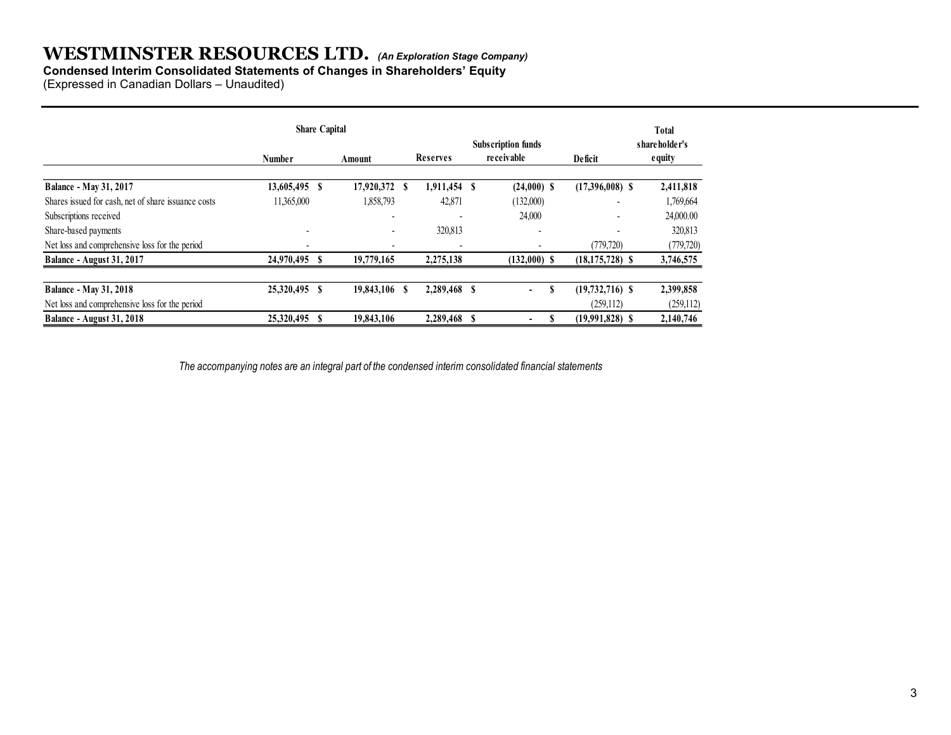#### Condensed Interim Consolidated Statements of Changes in Shareholders' Equity

| <b>WESTMINSTER RESOURCES LTD.</b> (An Exploration Stage Company)<br><b>Condensed Interim Consolidated Statements of Changes in Shareholders' Equity</b> |                          |                |                 |              |                           |                                   |                         |
|---------------------------------------------------------------------------------------------------------------------------------------------------------|--------------------------|----------------|-----------------|--------------|---------------------------|-----------------------------------|-------------------------|
|                                                                                                                                                         |                          |                |                 |              |                           |                                   |                         |
|                                                                                                                                                         |                          |                |                 |              |                           |                                   |                         |
|                                                                                                                                                         |                          |                |                 |              |                           |                                   |                         |
|                                                                                                                                                         |                          |                |                 |              |                           |                                   |                         |
|                                                                                                                                                         |                          |                |                 |              |                           |                                   |                         |
|                                                                                                                                                         |                          |                |                 |              |                           |                                   |                         |
|                                                                                                                                                         |                          |                |                 |              |                           |                                   |                         |
|                                                                                                                                                         |                          |                |                 |              |                           |                                   |                         |
| (Expressed in Canadian Dollars - Unaudited)                                                                                                             |                          |                |                 |              |                           |                                   |                         |
|                                                                                                                                                         |                          |                |                 |              |                           |                                   |                         |
|                                                                                                                                                         | <b>Share Capital</b>     |                |                 |              |                           |                                   |                         |
|                                                                                                                                                         |                          |                |                 |              |                           |                                   | Total                   |
|                                                                                                                                                         |                          |                |                 |              | <b>Subscription funds</b> |                                   | shareholder's           |
|                                                                                                                                                         | <b>Number</b>            | Amount         | <b>Reserves</b> |              | receivable                | Deficit                           | equity                  |
|                                                                                                                                                         |                          | 17,920,372 \$  |                 | 1,911,454 \$ | $(24,000)$ \$             | $(17,396,008)$ \$                 | 2,411,818               |
|                                                                                                                                                         |                          |                |                 | 42,871       | (132,000)                 |                                   | 1,769,664               |
|                                                                                                                                                         | 13,605,495 \$            |                |                 |              |                           |                                   |                         |
| <b>Balance - May 31, 2017</b><br>Shares issued for cash, net of share issuance costs                                                                    | 11,365,000               | 1,858,793      |                 |              |                           |                                   |                         |
|                                                                                                                                                         | $\overline{\phantom{a}}$ |                |                 |              | 24,000                    |                                   | 24,000.00               |
|                                                                                                                                                         |                          | $\overline{a}$ |                 | 320,813      |                           |                                   | 320,813                 |
| Share-based payments<br>Net loss and comprehensive loss for the period<br>Balance - August 31, 2017                                                     | 24,970,495 \$            | 19,779,165     |                 | 2,275,138    | $(132,000)$ \$            | (779, 720)<br>$(18, 175, 728)$ \$ | (779, 720)<br>3,746,575 |
| Subscriptions received                                                                                                                                  |                          |                |                 |              |                           |                                   |                         |
| <b>Balance - May 31, 2018</b>                                                                                                                           | 25,320,495 \$            | 19,843,106 \$  |                 | 2,289,468 \$ | S                         | $(19, 732, 716)$ \$               | 2,399,858               |
| Net loss and comprehensive loss for the period                                                                                                          |                          |                |                 |              |                           | (259, 112)                        | (259, 112)              |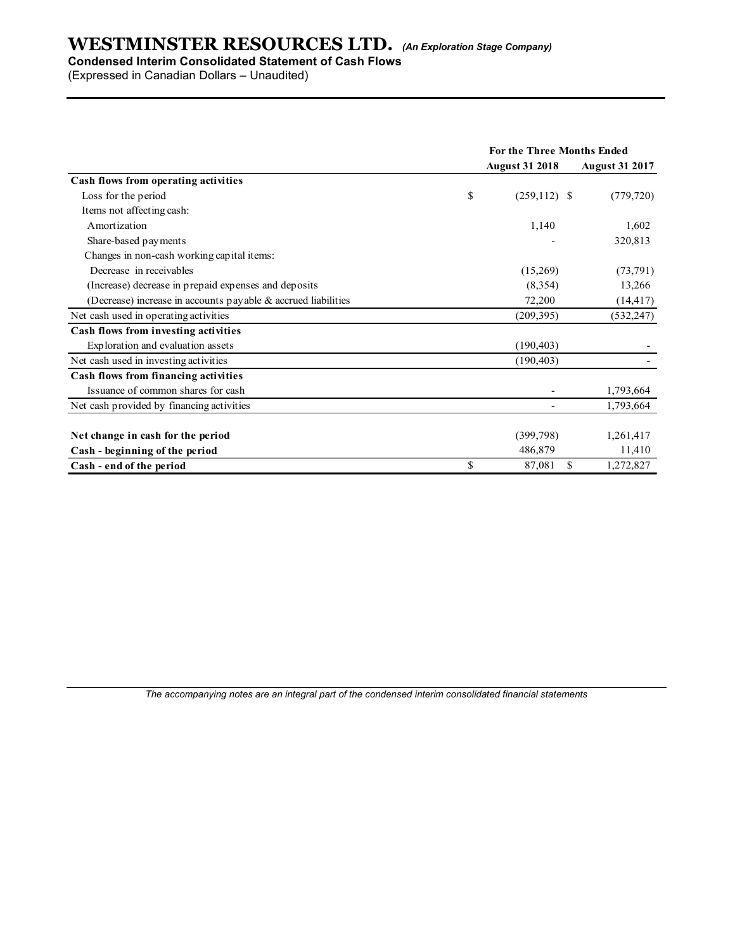### Condensed Interim Consolidated Statement of Cash Flows

| <b>WESTMINSTER RESOURCES LTD.</b> (An Exploration Stage Company) |                            |                       |
|------------------------------------------------------------------|----------------------------|-----------------------|
| <b>Condensed Interim Consolidated Statement of Cash Flows</b>    |                            |                       |
| (Expressed in Canadian Dollars - Unaudited)                      |                            |                       |
|                                                                  |                            |                       |
|                                                                  |                            |                       |
|                                                                  |                            |                       |
|                                                                  |                            |                       |
|                                                                  |                            |                       |
|                                                                  | For the Three Months Ended |                       |
|                                                                  | <b>August 31 2018</b>      | <b>August 31 2017</b> |
| Cash flows from operating activities                             |                            |                       |
| Loss for the period                                              | \$<br>$(259,112)$ \$       | (779, 720)            |
| Items not affecting cash:                                        |                            |                       |
| Amortization                                                     | 1,140                      | 1,602                 |
| Share-based payments                                             |                            | 320,813               |
| Changes in non-cash working capital items:                       |                            |                       |
| Decrease in receivables                                          | (15,269)                   | (73, 791)             |
| (Increase) decrease in prepaid expenses and deposits             | (8, 354)                   | 13,266                |
| (Decrease) increase in accounts payable & accrued liabilities    | 72,200                     | (14, 417)             |
| Net cash used in operating activities                            | (209, 395)                 | (532, 247)            |
| Cash flows from investing activities                             |                            |                       |
| Exploration and evaluation assets                                | (190, 403)                 |                       |
| Net cash used in investing activities                            | (190, 403)                 |                       |
| Cash flows from financing activities                             |                            |                       |
| Issuance of common shares for cash                               |                            | 1,793,664             |
| Net cash provided by financing activities                        | $\overline{\phantom{a}}$   | 1,793,664             |
|                                                                  |                            |                       |
|                                                                  | (399, 798)                 | 1,261,417             |
|                                                                  |                            |                       |
| Net change in cash for the period                                |                            |                       |
| Cash - beginning of the period<br>Cash - end of the period       | \$<br>486,879<br>87,081 \$ | 11,410<br>1,272,827   |

The accompanying notes are an integral part of the condensed interim consolidated financial statements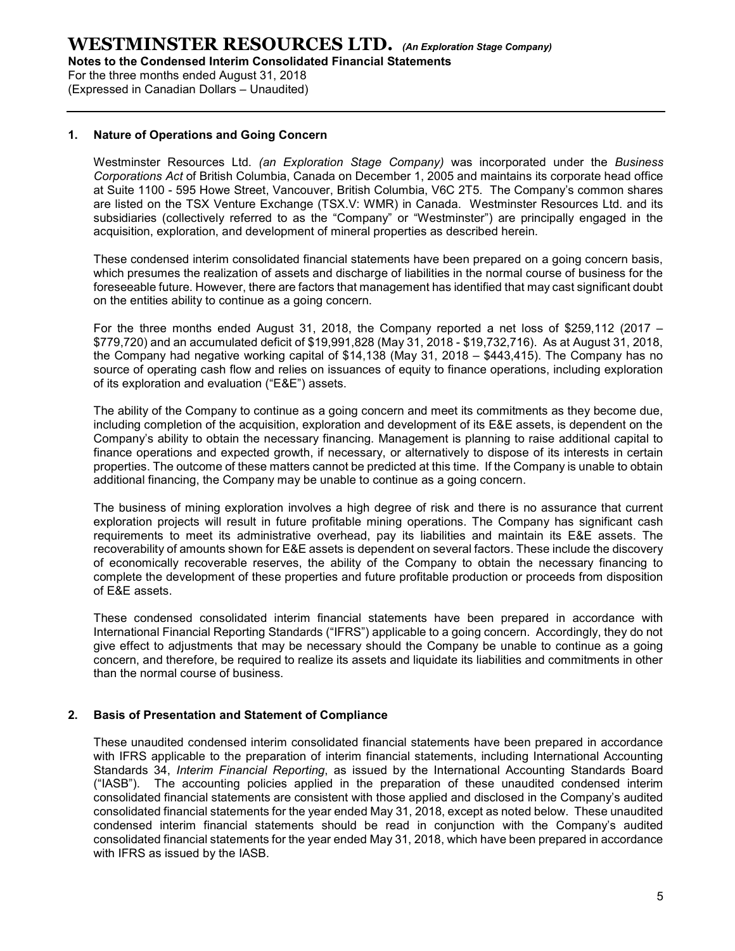For the three months ended August 31, 2018 (Expressed in Canadian Dollars – Unaudited)

#### 1. Nature of Operations and Going Concern

Westminster Resources Ltd. (an Exploration Stage Company) was incorporated under the Business Corporations Act of British Columbia, Canada on December 1, 2005 and maintains its corporate head office at Suite 1100 - 595 Howe Street, Vancouver, British Columbia, V6C 2T5. The Company's common shares are listed on the TSX Venture Exchange (TSX.V: WMR) in Canada. Westminster Resources Ltd. and its subsidiaries (collectively referred to as the "Company" or "Westminster") are principally engaged in the acquisition, exploration, and development of mineral properties as described herein.

These condensed interim consolidated financial statements have been prepared on a going concern basis, which presumes the realization of assets and discharge of liabilities in the normal course of business for the foreseeable future. However, there are factors that management has identified that may cast significant doubt on the entities ability to continue as a going concern.

For the three months ended August 31, 2018, the Company reported a net loss of \$259,112 (2017 – \$779,720) and an accumulated deficit of \$19,991,828 (May 31, 2018 - \$19,732,716). As at August 31, 2018, the Company had negative working capital of \$14,138 (May 31, 2018 – \$443,415). The Company has no source of operating cash flow and relies on issuances of equity to finance operations, including exploration of its exploration and evaluation ("E&E") assets.

The ability of the Company to continue as a going concern and meet its commitments as they become due, including completion of the acquisition, exploration and development of its E&E assets, is dependent on the Company's ability to obtain the necessary financing. Management is planning to raise additional capital to finance operations and expected growth, if necessary, or alternatively to dispose of its interests in certain properties. The outcome of these matters cannot be predicted at this time. If the Company is unable to obtain additional financing, the Company may be unable to continue as a going concern.

The business of mining exploration involves a high degree of risk and there is no assurance that current exploration projects will result in future profitable mining operations. The Company has significant cash requirements to meet its administrative overhead, pay its liabilities and maintain its E&E assets. The recoverability of amounts shown for E&E assets is dependent on several factors. These include the discovery of economically recoverable reserves, the ability of the Company to obtain the necessary financing to complete the development of these properties and future profitable production or proceeds from disposition of E&E assets.

These condensed consolidated interim financial statements have been prepared in accordance with International Financial Reporting Standards ("IFRS") applicable to a going concern. Accordingly, they do not give effect to adjustments that may be necessary should the Company be unable to continue as a going concern, and therefore, be required to realize its assets and liquidate its liabilities and commitments in other than the normal course of business.

#### 2. Basis of Presentation and Statement of Compliance

These unaudited condensed interim consolidated financial statements have been prepared in accordance with IFRS applicable to the preparation of interim financial statements, including International Accounting Standards 34, Interim Financial Reporting, as issued by the International Accounting Standards Board ("IASB"). The accounting policies applied in the preparation of these unaudited condensed interim consolidated financial statements are consistent with those applied and disclosed in the Company's audited consolidated financial statements for the year ended May 31, 2018, except as noted below. These unaudited condensed interim financial statements should be read in conjunction with the Company's audited consolidated financial statements for the year ended May 31, 2018, which have been prepared in accordance with IFRS as issued by the IASB.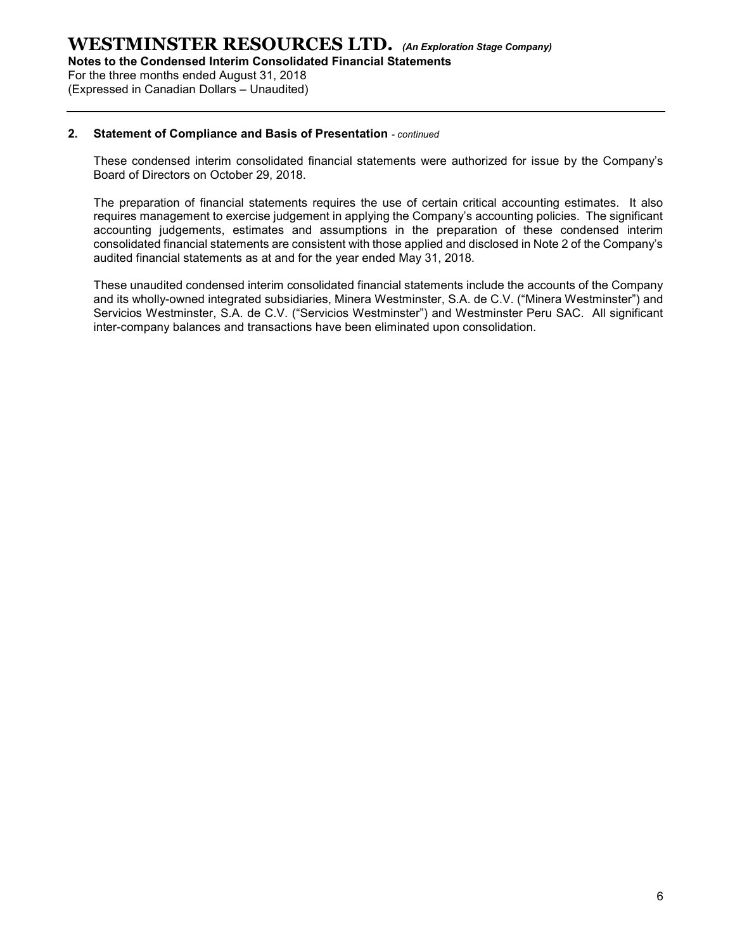For the three months ended August 31, 2018 (Expressed in Canadian Dollars – Unaudited)

#### 2. Statement of Compliance and Basis of Presentation - continued

These condensed interim consolidated financial statements were authorized for issue by the Company's Board of Directors on October 29, 2018.

The preparation of financial statements requires the use of certain critical accounting estimates. It also requires management to exercise judgement in applying the Company's accounting policies. The significant accounting judgements, estimates and assumptions in the preparation of these condensed interim consolidated financial statements are consistent with those applied and disclosed in Note 2 of the Company's audited financial statements as at and for the year ended May 31, 2018.

These unaudited condensed interim consolidated financial statements include the accounts of the Company and its wholly-owned integrated subsidiaries, Minera Westminster, S.A. de C.V. ("Minera Westminster") and Servicios Westminster, S.A. de C.V. ("Servicios Westminster") and Westminster Peru SAC. All significant inter-company balances and transactions have been eliminated upon consolidation.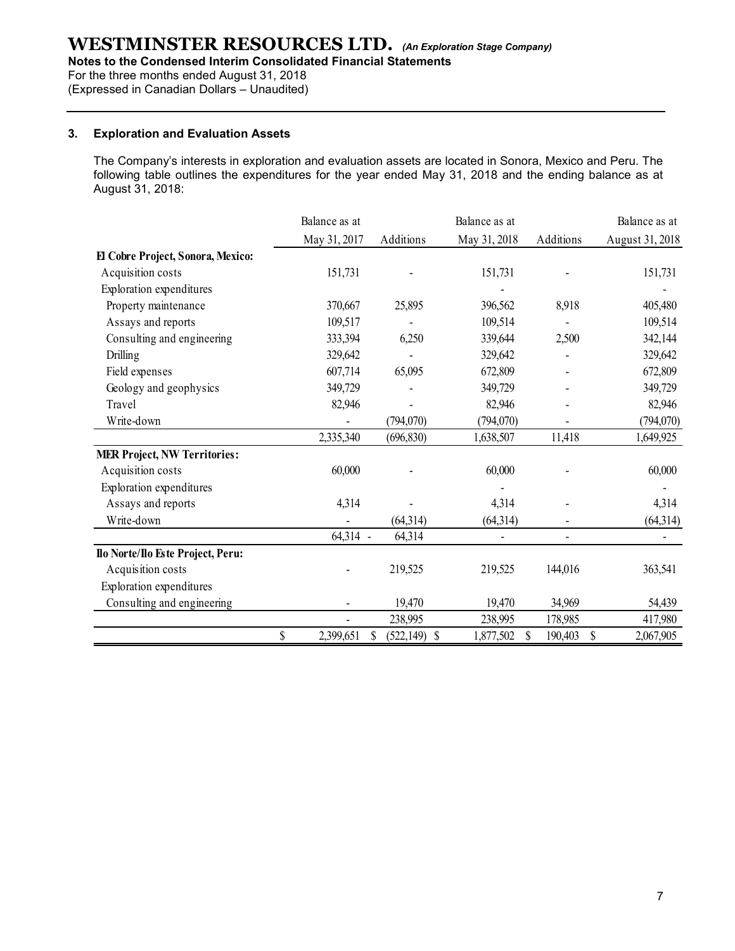Notes to the Condensed Interim Consolidated Financial Statements

For the three months ended August 31, 2018

(Expressed in Canadian Dollars – Unaudited)

#### 3. Exploration and Evaluation Assets

| <b>Exploration and Evaluation Assets</b>                                                                                                                                                                                               |                            |                                |                |                          |                 |
|----------------------------------------------------------------------------------------------------------------------------------------------------------------------------------------------------------------------------------------|----------------------------|--------------------------------|----------------|--------------------------|-----------------|
| The Company's interests in exploration and evaluation assets are located in Sonora, Mexico and Peru. The<br>following table outlines the expenditures for the year ended May 31, 2018 and the ending balance as at<br>August 31, 2018: |                            |                                |                |                          |                 |
|                                                                                                                                                                                                                                        | Balance as at              |                                | Balance as at  |                          | Balance as at   |
|                                                                                                                                                                                                                                        | May 31, 2017               | Additions                      | May 31, 2018   | Additions                | August 31, 2018 |
| El Cobre Project, Sonora, Mexico:                                                                                                                                                                                                      |                            |                                |                |                          |                 |
| Acquisition costs                                                                                                                                                                                                                      | 151,731                    |                                | 151,731        |                          | 151,731         |
| Exploration expenditures                                                                                                                                                                                                               |                            |                                |                |                          |                 |
| Property maintenance                                                                                                                                                                                                                   | 370,667                    | 25,895                         | 396,562        | 8,918                    | 405,480         |
| Assays and reports                                                                                                                                                                                                                     | 109,517                    |                                | 109,514        | $\blacksquare$           | 109,514         |
| Consulting and engineering                                                                                                                                                                                                             | 333,394                    | 6,250                          | 339,644        | 2,500                    | 342,144         |
| <b>Drilling</b>                                                                                                                                                                                                                        | 329,642                    |                                | 329,642        | $\sim$                   | 329,642         |
| Field expenses                                                                                                                                                                                                                         | 607,714                    | 65,095                         | 672,809        |                          | 672,809         |
| Geology and geophysics                                                                                                                                                                                                                 | 349,729                    |                                | 349,729        | $\blacksquare$           | 349,729         |
| Travel                                                                                                                                                                                                                                 | 82,946                     |                                | 82,946         |                          | 82,946          |
| Write-down                                                                                                                                                                                                                             | $\overline{\phantom{a}}$   | (794,070)                      | (794,070)      | $\overline{\phantom{a}}$ | (794,070)       |
|                                                                                                                                                                                                                                        | 2,335,340                  | (696, 830)                     | 1,638,507      | 11,418                   | 1,649,925       |
| <b>MER Project, NW Territories:</b>                                                                                                                                                                                                    |                            |                                |                |                          |                 |
| Acquisition costs                                                                                                                                                                                                                      | 60,000                     | $\blacksquare$                 | 60,000         | $\overline{\phantom{a}}$ | 60,000          |
| Exploration expenditures                                                                                                                                                                                                               |                            |                                |                |                          |                 |
| Assays and reports                                                                                                                                                                                                                     | 4,314                      |                                | 4,314          |                          | 4,314           |
| Write-down                                                                                                                                                                                                                             |                            | (64, 314)                      | (64,314)       |                          | (64, 314)       |
|                                                                                                                                                                                                                                        | 64,314 -                   | 64,314                         | $\blacksquare$ | $\overline{\phantom{a}}$ | $\sim$          |
| Ilo Norte/Ilo Este Project, Peru:                                                                                                                                                                                                      |                            |                                |                |                          |                 |
| Acquisition costs                                                                                                                                                                                                                      |                            | 219,525                        | 219,525        | 144,016                  | 363,541         |
| Exploration expenditures                                                                                                                                                                                                               |                            |                                |                |                          |                 |
| Consulting and engineering                                                                                                                                                                                                             |                            | 19,470                         | 19,470         | 34,969                   | 54,439          |
|                                                                                                                                                                                                                                        |                            | 238,995                        | 238,995        | 178,985                  | 417,980         |
|                                                                                                                                                                                                                                        | $\mathcal{S}$<br>2,399,651 | $\mathbb{S}$<br>$(522,149)$ \$ | 1,877,502 \$   | 190,403 \$               | 2,067,905       |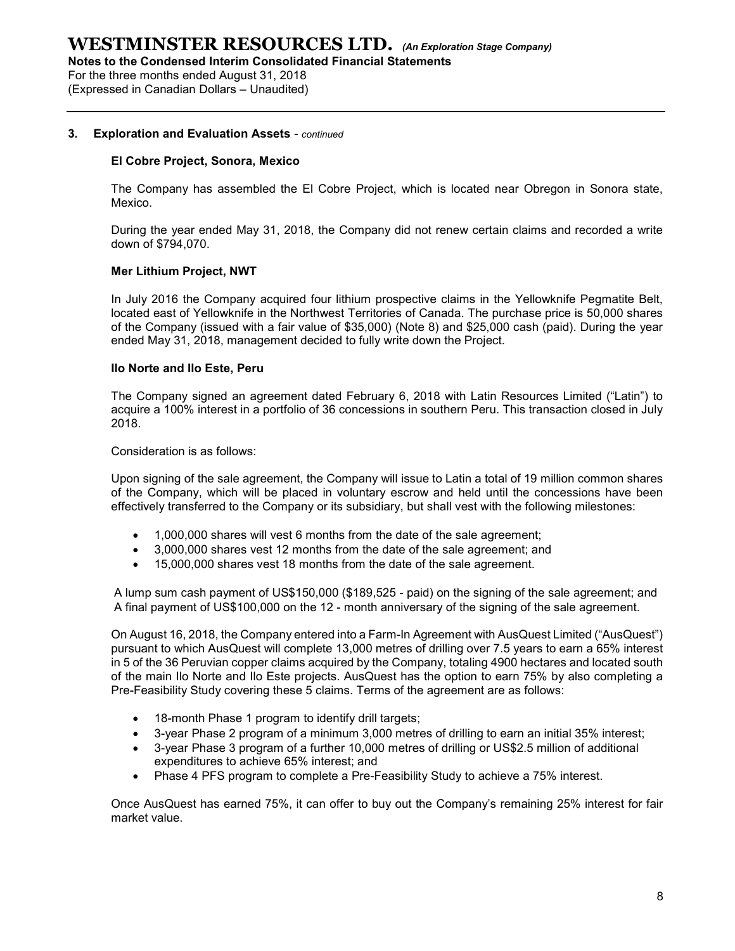For the three months ended August 31, 2018

(Expressed in Canadian Dollars – Unaudited)

#### 3. Exploration and Evaluation Assets - continued

#### El Cobre Project, Sonora, Mexico

The Company has assembled the El Cobre Project, which is located near Obregon in Sonora state, Mexico.

During the year ended May 31, 2018, the Company did not renew certain claims and recorded a write down of \$794,070.

#### Mer Lithium Project, NWT

In July 2016 the Company acquired four lithium prospective claims in the Yellowknife Pegmatite Belt, located east of Yellowknife in the Northwest Territories of Canada. The purchase price is 50,000 shares of the Company (issued with a fair value of \$35,000) (Note 8) and \$25,000 cash (paid). During the year ended May 31, 2018, management decided to fully write down the Project.

#### Ilo Norte and Ilo Este, Peru

The Company signed an agreement dated February 6, 2018 with Latin Resources Limited ("Latin") to acquire a 100% interest in a portfolio of 36 concessions in southern Peru. This transaction closed in July 2018.

Consideration is as follows:

Upon signing of the sale agreement, the Company will issue to Latin a total of 19 million common shares of the Company, which will be placed in voluntary escrow and held until the concessions have been effectively transferred to the Company or its subsidiary, but shall vest with the following milestones:

- 1,000,000 shares will vest 6 months from the date of the sale agreement;
- 3,000,000 shares vest 12 months from the date of the sale agreement; and
- 15,000,000 shares vest 18 months from the date of the sale agreement.

A lump sum cash payment of US\$150,000 (\$189,525 - paid) on the signing of the sale agreement; and A final payment of US\$100,000 on the 12 - month anniversary of the signing of the sale agreement.

On August 16, 2018, the Company entered into a Farm-In Agreement with AusQuest Limited ("AusQuest") pursuant to which AusQuest will complete 13,000 metres of drilling over 7.5 years to earn a 65% interest in 5 of the 36 Peruvian copper claims acquired by the Company, totaling 4900 hectares and located south of the main Ilo Norte and Ilo Este projects. AusQuest has the option to earn 75% by also completing a Pre-Feasibility Study covering these 5 claims. Terms of the agreement are as follows:

- 18-month Phase 1 program to identify drill targets;
- 3-year Phase 2 program of a minimum 3,000 metres of drilling to earn an initial 35% interest;
- 3-year Phase 3 program of a further 10,000 metres of drilling or US\$2.5 million of additional expenditures to achieve 65% interest; and
- Phase 4 PFS program to complete a Pre-Feasibility Study to achieve a 75% interest.

Once AusQuest has earned 75%, it can offer to buy out the Company's remaining 25% interest for fair market value.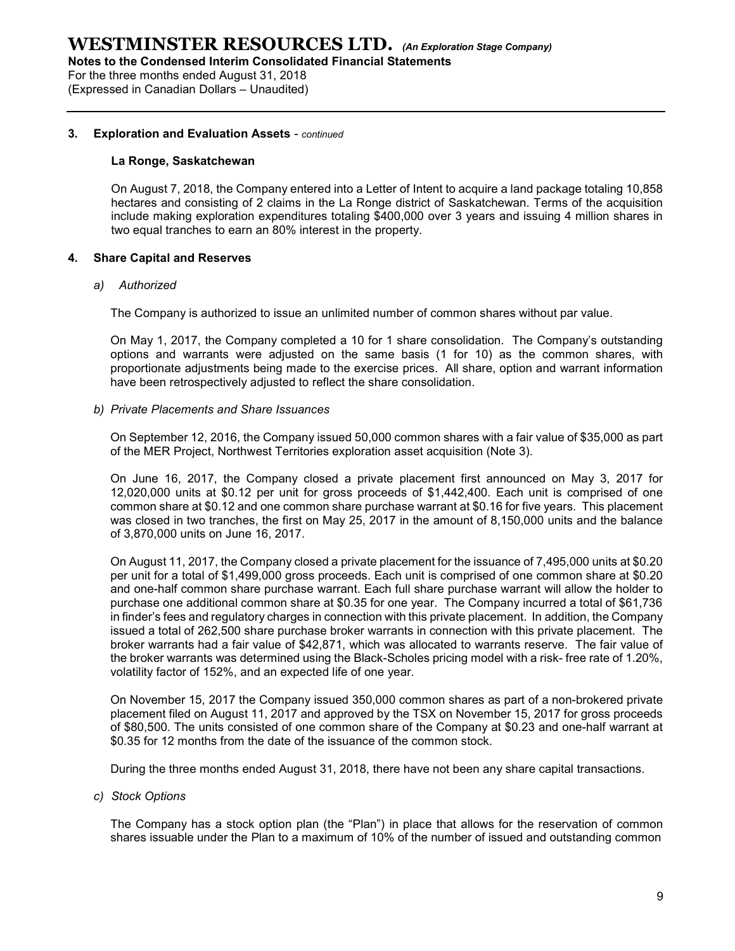For the three months ended August 31, 2018 (Expressed in Canadian Dollars – Unaudited)

#### 3. Exploration and Evaluation Assets - continued

#### La Ronge, Saskatchewan

On August 7, 2018, the Company entered into a Letter of Intent to acquire a land package totaling 10,858 hectares and consisting of 2 claims in the La Ronge district of Saskatchewan. Terms of the acquisition include making exploration expenditures totaling \$400,000 over 3 years and issuing 4 million shares in two equal tranches to earn an 80% interest in the property.

#### 4. Share Capital and Reserves

#### a) Authorized

The Company is authorized to issue an unlimited number of common shares without par value.

On May 1, 2017, the Company completed a 10 for 1 share consolidation. The Company's outstanding options and warrants were adjusted on the same basis (1 for 10) as the common shares, with proportionate adjustments being made to the exercise prices. All share, option and warrant information have been retrospectively adjusted to reflect the share consolidation.

#### b) Private Placements and Share Issuances

On September 12, 2016, the Company issued 50,000 common shares with a fair value of \$35,000 as part of the MER Project, Northwest Territories exploration asset acquisition (Note 3).

On June 16, 2017, the Company closed a private placement first announced on May 3, 2017 for 12,020,000 units at \$0.12 per unit for gross proceeds of \$1,442,400. Each unit is comprised of one common share at \$0.12 and one common share purchase warrant at \$0.16 for five years. This placement was closed in two tranches, the first on May 25, 2017 in the amount of 8,150,000 units and the balance of 3,870,000 units on June 16, 2017.

On August 11, 2017, the Company closed a private placement for the issuance of 7,495,000 units at \$0.20 per unit for a total of \$1,499,000 gross proceeds. Each unit is comprised of one common share at \$0.20 and one-half common share purchase warrant. Each full share purchase warrant will allow the holder to purchase one additional common share at \$0.35 for one year. The Company incurred a total of \$61,736 in finder's fees and regulatory charges in connection with this private placement. In addition, the Company issued a total of 262,500 share purchase broker warrants in connection with this private placement. The broker warrants had a fair value of \$42,871, which was allocated to warrants reserve. The fair value of the broker warrants was determined using the Black-Scholes pricing model with a risk- free rate of 1.20%, volatility factor of 152%, and an expected life of one year.

On November 15, 2017 the Company issued 350,000 common shares as part of a non-brokered private placement filed on August 11, 2017 and approved by the TSX on November 15, 2017 for gross proceeds of \$80,500. The units consisted of one common share of the Company at \$0.23 and one-half warrant at \$0.35 for 12 months from the date of the issuance of the common stock.

During the three months ended August 31, 2018, there have not been any share capital transactions.

c) Stock Options

The Company has a stock option plan (the "Plan") in place that allows for the reservation of common shares issuable under the Plan to a maximum of 10% of the number of issued and outstanding common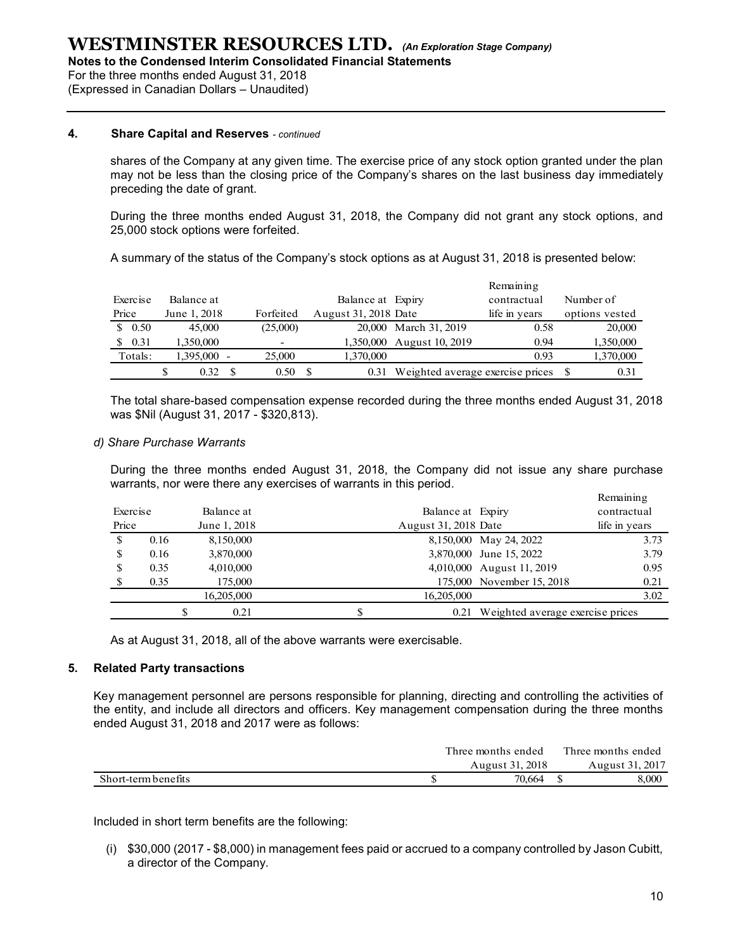For the three months ended August 31, 2018

(Expressed in Canadian Dollars – Unaudited)

#### 4. Share Capital and Reserves - continued

|          |                                      | three months ended August 31, 2018<br>sed in Canadian Dollars - Unaudited) | o the Condensed Interim Consolidated Financial Statements | $\textbf{FTMINSTER}$ RESOURCES LTD. (An Exploration Stage Company)                                                                                                                                            |                                          |                |  |
|----------|--------------------------------------|----------------------------------------------------------------------------|-----------------------------------------------------------|---------------------------------------------------------------------------------------------------------------------------------------------------------------------------------------------------------------|------------------------------------------|----------------|--|
|          |                                      | <b>Share Capital and Reserves - continued</b>                              |                                                           |                                                                                                                                                                                                               |                                          |                |  |
|          | preceding the date of grant.         |                                                                            |                                                           | shares of the Company at any given time. The exercise price of any stock option granted under the plan<br>may not be less than the closing price of the Company's shares on the last business day immediately |                                          |                |  |
|          | 25,000 stock options were forfeited. |                                                                            |                                                           | During the three months ended August 31, 2018, the Company did not grant any stock options, and                                                                                                               |                                          |                |  |
|          |                                      |                                                                            |                                                           | A summary of the status of the Company's stock options as at August 31, 2018 is presented below:                                                                                                              |                                          |                |  |
|          |                                      |                                                                            |                                                           |                                                                                                                                                                                                               | Remaining                                |                |  |
| Exercise | Balance at                           |                                                                            | Balance at Expiry                                         |                                                                                                                                                                                                               | contractual                              | Number of      |  |
| Price    | June 1, 2018                         | Forfeited                                                                  | August 31, 2018 Date                                      |                                                                                                                                                                                                               | life in years                            | options vested |  |
| \$0.50   | 45,000                               | (25,000)                                                                   |                                                           | 20,000 March 31, 2019                                                                                                                                                                                         | 0.58                                     | 20,000         |  |
|          | 1,350,000                            |                                                                            |                                                           | 1,350,000 August 10, 2019                                                                                                                                                                                     | 0.94                                     | 1,350,000      |  |
| \$0.31   |                                      | 25,000                                                                     | 1,370,000                                                 |                                                                                                                                                                                                               | 0.93                                     | 1,370,000      |  |
| Totals:  | \$<br>1,395,000 -<br>$0.32 \quad$    | $0.50\quad$                                                                |                                                           |                                                                                                                                                                                                               | 0.31 Weighted average exercise prices \$ | 0.31           |  |

#### d) Share Purchase Warrants

|                   |                                |                                                                                                  |                 |                                           |                                                                                                                                                                                                                    | Remaining                             | Number of |                                           |
|-------------------|--------------------------------|--------------------------------------------------------------------------------------------------|-----------------|-------------------------------------------|--------------------------------------------------------------------------------------------------------------------------------------------------------------------------------------------------------------------|---------------------------------------|-----------|-------------------------------------------|
| Exercise<br>Price | Balance at<br>June 1, 2018     | Forfeited                                                                                        |                 | Balance at Expiry<br>August 31, 2018 Date |                                                                                                                                                                                                                    | contractual                           |           |                                           |
| \$0.50            | 45,000                         | (25,000)                                                                                         |                 |                                           | 20,000 March 31, 2019                                                                                                                                                                                              | life in years<br>0.58                 |           | options vested<br>20,000                  |
| \$0.31            | 1,350,000                      |                                                                                                  |                 |                                           | 1,350,000 August 10, 2019                                                                                                                                                                                          | 0.94                                  |           | 1,350,000                                 |
| Totals:           | 1,395,000 -                    | 25,000                                                                                           |                 | 1,370,000                                 |                                                                                                                                                                                                                    | 0.93                                  |           | 1,370,000                                 |
|                   |                                |                                                                                                  |                 |                                           |                                                                                                                                                                                                                    |                                       |           |                                           |
|                   | \$                             | $0.32 \quad$ \$                                                                                  | $0.50\,{\rm s}$ |                                           | 0.31 Weighted average exercise prices \$                                                                                                                                                                           |                                       |           | 0.31                                      |
| Exercise<br>Price | <b>Share Purchase Warrants</b> | warrants, nor were there any exercises of warrants in this period.<br>Balance at<br>June 1, 2018 |                 |                                           | During the three months ended August 31, 2018, the Company did not issue any share purchase<br>Balance at Expiry<br>August 31, 2018 Date                                                                           |                                       |           | Remaining<br>contractual<br>life in years |
|                   |                                |                                                                                                  |                 |                                           |                                                                                                                                                                                                                    |                                       |           |                                           |
| \$                | 0.16                           | 8,150,000                                                                                        |                 |                                           |                                                                                                                                                                                                                    | 8,150,000 May 24, 2022                |           | 3.73                                      |
|                   | 0.16                           | 3,870,000                                                                                        |                 |                                           |                                                                                                                                                                                                                    | 3,870,000 June 15, 2022               |           | 3.79                                      |
| \$                |                                |                                                                                                  |                 |                                           |                                                                                                                                                                                                                    | 4,010,000 August 11, 2019             |           | 0.95                                      |
| \$                | 0.35                           | 4,010,000                                                                                        |                 |                                           |                                                                                                                                                                                                                    | 175,000 November 15, 2018             |           | 0.21                                      |
|                   | 0.35                           | 175,000                                                                                          |                 |                                           |                                                                                                                                                                                                                    |                                       |           |                                           |
|                   |                                | 16,205,000                                                                                       |                 |                                           | 16,205,000                                                                                                                                                                                                         |                                       |           | 3.02                                      |
|                   | \$                             | 0.21                                                                                             |                 | $\$$                                      |                                                                                                                                                                                                                    | 0.21 Weighted average exercise prices |           |                                           |
|                   | elated Party transactions      | As at August 31, 2018, all of the above warrants were exercisable.                               |                 |                                           |                                                                                                                                                                                                                    |                                       |           |                                           |
|                   |                                | nded August 31, 2018 and 2017 were as follows:                                                   |                 |                                           | ey management personnel are persons responsible for planning, directing and controlling the activities of<br>e entity, and include all directors and officers. Key management compensation during the three months | Three months ended                    |           | Three months ended                        |
|                   |                                |                                                                                                  |                 |                                           |                                                                                                                                                                                                                    | August 31, 2018                       |           | August 31, 2017                           |

#### 5. Related Party transactions

|                     | Three months ended | Three months ended |
|---------------------|--------------------|--------------------|
|                     | August 31, 2018    | August 31, 2017    |
| Short-term benefits | 70.664             | 8.000              |

(i) \$30,000 (2017 - \$8,000) in management fees paid or accrued to a company controlled by Jason Cubitt, a director of the Company.